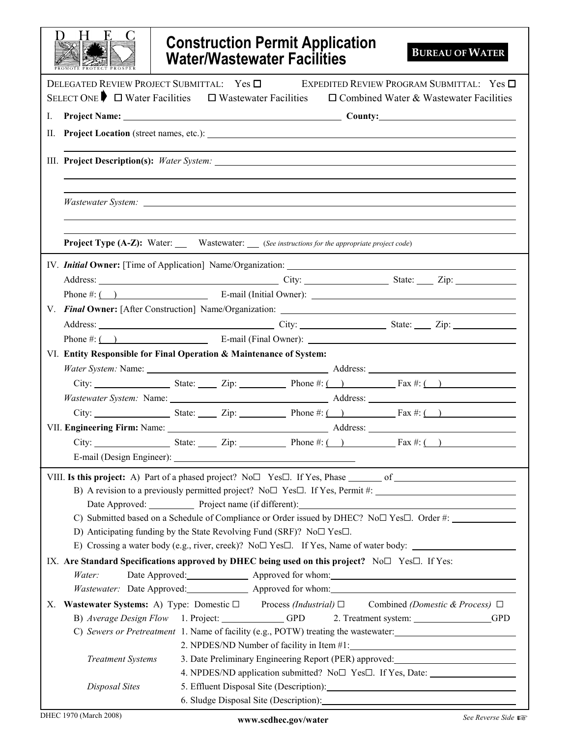| <b>Construction Permit Application</b><br><b>Water/Wastewater Facilities</b>                                                                                                                                                   | <b>BUREAU OF WATER</b>                            |
|--------------------------------------------------------------------------------------------------------------------------------------------------------------------------------------------------------------------------------|---------------------------------------------------|
| DELEGATED REVIEW PROJECT SUBMITTAL: Yes □                                                                                                                                                                                      | EXPEDITED REVIEW PROGRAM SUBMITTAL: Yes $\square$ |
| SELECT ONE $\blacktriangleright$ $\Box$ Water Facilities $\Box$ Wastewater Facilities $\Box$ Combined Water & Wastewater Facilities                                                                                            |                                                   |
| I.                                                                                                                                                                                                                             |                                                   |
|                                                                                                                                                                                                                                |                                                   |
|                                                                                                                                                                                                                                |                                                   |
|                                                                                                                                                                                                                                |                                                   |
| <b>Project Type (A-Z):</b> Water: Wastewater: (See instructions for the appropriate project code)                                                                                                                              |                                                   |
|                                                                                                                                                                                                                                |                                                   |
| Address: <u>City:</u> City: City: State: Zip: 2.1.                                                                                                                                                                             |                                                   |
|                                                                                                                                                                                                                                |                                                   |
|                                                                                                                                                                                                                                |                                                   |
| Address: City: City: State: Zip: City: State: Zip:                                                                                                                                                                             |                                                   |
| Phone $\#$ : $\Box$ E-mail (Final Owner): $\Box$                                                                                                                                                                               |                                                   |
| VI. Entity Responsible for Final Operation & Maintenance of System:                                                                                                                                                            |                                                   |
| Water System: Name: 1997 Manual Address: 2008 Manual Address: 2008 Manual Address: 2008 Manual Address: 2008 Manual Address: 2008 Manual Address: 2008 Manual Address: 2008 Manual Address: 2008 Manual Address: 2008 Manual A |                                                   |
| City: State: Zip: $\qquad \qquad$ Phone #: () $\qquad \qquad$ Fax #: ()                                                                                                                                                        |                                                   |
|                                                                                                                                                                                                                                |                                                   |
| City: State: Zip: $\qquad \qquad$ Phone #: () $\qquad \qquad$ Fax #: ()                                                                                                                                                        |                                                   |
| VII. Engineering Firm: Name: 1990. [2010] Address: 2000. [2010] Address: 2000. [2010] Address: 2000. [2010] Address: 2000. [2010] Address: 2000. [2010] Address: 2000. [2010] Address: 2000. [2010] Address: 2000. [2010] Addr |                                                   |
| City: State: $\Box$ Zip: $\Box$ Phone #: $\Box$ Fax #: $\Box$                                                                                                                                                                  |                                                   |
|                                                                                                                                                                                                                                |                                                   |
|                                                                                                                                                                                                                                |                                                   |
|                                                                                                                                                                                                                                |                                                   |
| Date Approved: Project name (if different):                                                                                                                                                                                    |                                                   |
| C) Submitted based on a Schedule of Compliance or Order issued by DHEC? No $\square$ Yes $\square$ . Order #:                                                                                                                  |                                                   |
| D) Anticipating funding by the State Revolving Fund (SRF)? No $\square$ Yes $\square$ .                                                                                                                                        |                                                   |
| E) Crossing a water body (e.g., river, creek)? No $\Box$ Yes $\Box$ . If Yes, Name of water body:                                                                                                                              |                                                   |
| IX. Are Standard Specifications approved by DHEC being used on this project? No $\square$ Yes $\square$ . If Yes:                                                                                                              |                                                   |
| Water:                                                                                                                                                                                                                         |                                                   |
| Wastewater: Date Approved: Approved for whom: Approved for whom:                                                                                                                                                               |                                                   |
| X. Wastewater Systems: A) Type: Domestic $\square$ Process (Industrial) $\square$ Combined (Domestic & Process) $\square$                                                                                                      |                                                   |
| B) Average Design Flow 1. Project: GPD                                                                                                                                                                                         | 2. Treatment system: GPD                          |
| C) Sewers or Pretreatment 1. Name of facility (e.g., POTW) treating the wastewater:<br>2. NPDES/ND Number of facility in Item #1:                                                                                              |                                                   |
| 3. Date Preliminary Engineering Report (PER) approved: _________________________<br><b>Treatment Systems</b>                                                                                                                   |                                                   |
| 4. NPDES/ND application submitted? No $\Box$ Yes $\Box$ . If Yes, Date: ________________                                                                                                                                       |                                                   |
| Disposal Sites                                                                                                                                                                                                                 |                                                   |
| 6. Sludge Disposal Site (Description): Manual Communication of Sludge Disposal Site (Description):                                                                                                                             |                                                   |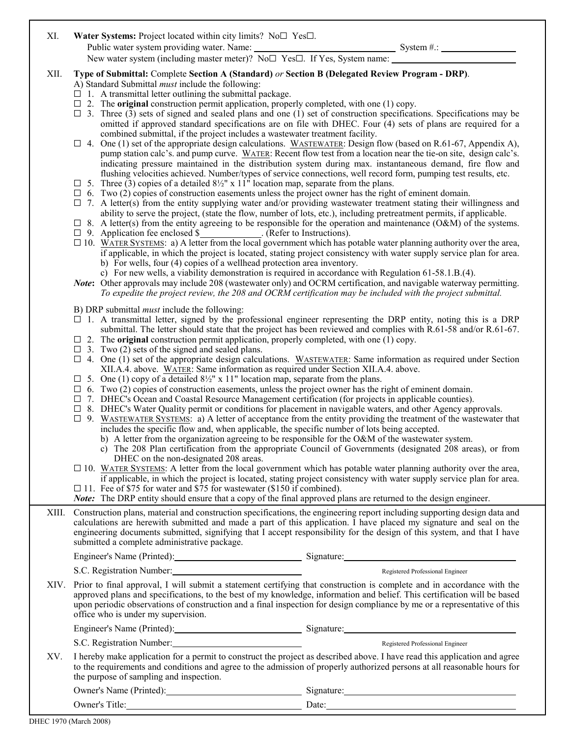| XI.   | <b>Water Systems:</b> Project located within city limits? $No \Box Yes \Box$ .                  |                |  |  |  |
|-------|-------------------------------------------------------------------------------------------------|----------------|--|--|--|
|       | Public water system providing water. Name:                                                      | System $\#$ .: |  |  |  |
|       | New water system (including master meter)? No $\square$ Yes $\square$ . If Yes, System name:    |                |  |  |  |
| -XII. | Type of Submittal: Complete Section A (Standard) or Section B (Delegated Review Program - DRP). |                |  |  |  |

- A) Standard Submittal must include the following:
- $\Box$  1. A transmittal letter outlining the submittal package.
- $\Box$  2. The **original** construction permit application, properly completed, with one (1) copy.

 $\Box$  3. Three (3) sets of signed and sealed plans and one (1) set of construction specifications. Specifications may be omitted if approved standard specifications are on file with DHEC. Four (4) sets of plans are required for a combined submittal, if the project includes a wastewater treatment facility.

- $\Box$  4. One (1) set of the appropriate design calculations. WASTEWATER: Design flow (based on R.61-67, Appendix A), pump station calc's. and pump curve. WATER: Recent flow test from a location near the tie-on site, design calc's. indicating pressure maintained in the distribution system during max. instantaneous demand, fire flow and flushing velocities achieved. Number/types of service connections, well record form, pumping test results, etc.
- $\Box$  5. Three (3) copies of a detailed 8½" x 11<sup>th</sup> location map, separate from the plans.
- $\Box$  6. Two (2) copies of construction easements unless the project owner has the right of eminent domain.
- $\Box$  7. A letter(s) from the entity supplying water and/or providing wastewater treatment stating their willingness and ability to serve the project, (state the flow, number of lots, etc.), including pretreatment permits, if applicable.
- $\Box$  8. A letter(s) from the entity agreeing to be responsible for the operation and maintenance (O&M) of the systems.
- $\Box$  9. Application fee enclosed  $\frac{\Sigma}{\Sigma}$  . (Refer to Instructions).
- $\Box$  10. WATER SYSTEMS: a) A letter from the local government which has potable water planning authority over the area, if applicable, in which the project is located, stating project consistency with water supply service plan for area. b) For wells, four (4) copies of a wellhead protection area inventory.
	- c) For new wells, a viability demonstration is required in accordance with Regulation 61-58.1.B.(4).
- Note: Other approvals may include 208 (wastewater only) and OCRM certification, and navigable waterway permitting. To expedite the project review, the 208 and OCRM certification may be included with the project submittal.

B) DRP submittal must include the following:

- $\Box$  1. A transmittal letter, signed by the professional engineer representing the DRP entity, noting this is a DRP submittal. The letter should state that the project has been reviewed and complies with R.61-58 and/or R.61-67.
- $\Box$  2. The **original** construction permit application, properly completed, with one (1) copy.
- $\Box$  3. Two (2) sets of the signed and sealed plans.
- $\Box$  4. One (1) set of the appropriate design calculations. WASTEWATER: Same information as required under Section XII.A.4. above. WATER: Same information as required under Section XII.A.4. above.
- $\Box$  5. One (1) copy of a detailed 8<sup>1</sup>/<sub>2</sub>" x 11" location map, separate from the plans.
- $\Box$  6. Two (2) copies of construction easements, unless the project owner has the right of eminent domain.
- G 7. DHEC's Ocean and Coastal Resource Management certification (for projects in applicable counties).
- $\Box$  8. DHEC's Water Quality permit or conditions for placement in navigable waters, and other Agency approvals.
- $\Box$  9. WASTEWATER SYSTEMS: a) A letter of acceptance from the entity providing the treatment of the wastewater that includes the specific flow and, when applicable, the specific number of lots being accepted.
	- b) A letter from the organization agreeing to be responsible for the O&M of the wastewater system.
	- c) The 208 Plan certification from the appropriate Council of Governments (designated 208 areas), or from DHEC on the non-designated 208 areas.
- $\Box$  10. WATER SYSTEMS: A letter from the local government which has potable water planning authority over the area, if applicable, in which the project is located, stating project consistency with water supply service plan for area.
- $\Box$  11. Fee of \$75 for water and \$75 for wastewater (\$150 if combined).

|  |  | <b>Note:</b> The DRP entity should ensure that a copy of the final approved plans are returned to the design engineer. |
|--|--|------------------------------------------------------------------------------------------------------------------------|
|  |  |                                                                                                                        |
|  |  |                                                                                                                        |

XIII. Construction plans, material and construction specifications, the engineering report including supporting design data and calculations are herewith submitted and made a part of this application. I have placed my signature and seal on the engineering documents submitted, signifying that I accept responsibility for the design of this system, and that I have submitted a complete administrative package.

Engineer's Name (Printed): Signature: Signature:

S.C. Registration Number: Registered Professional Engineer

XIV. Prior to final approval, I will submit a statement certifying that construction is complete and in accordance with the approved plans and specifications, to the best of my knowledge, information and belief. This certification will be based upon periodic observations of construction and a final inspection for design compliance by me or a representative of this office who is under my supervision.

| Engineer's Name (Printed): | Signature: |
|----------------------------|------------|
| S.C. Registration Number:  |            |

Registered Professional Engineer

XV. I hereby make application for a permit to construct the project as described above. I have read this application and agree to the requirements and conditions and agree to the admission of properly authorized persons at all reasonable hours for the purpose of sampling and inspection.

Owner's Name (Printed): Signature: Signature: Signature:

Owner's Title: Date:

DHEC 1970 (March 2008)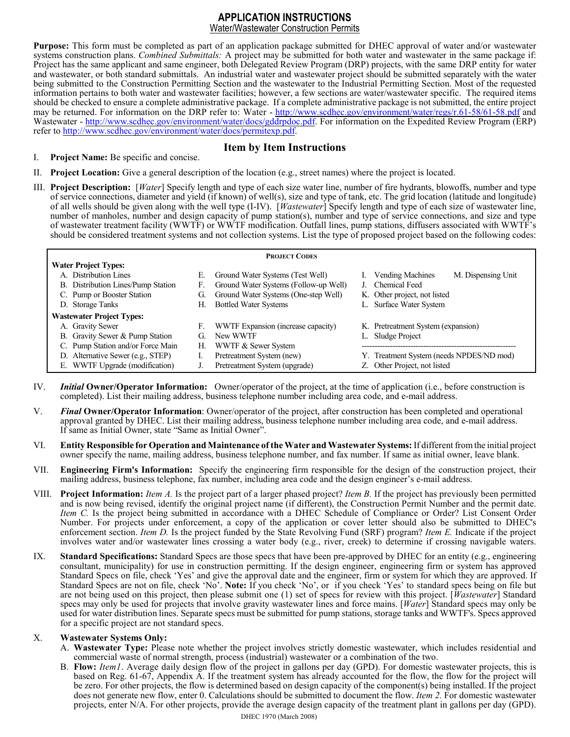## APPLICATION INSTRUCTIONS

Water/Wastewater Construction Permits

Purpose: This form must be completed as part of an application package submitted for DHEC approval of water and/or wastewater systems construction plans. Combined Submittals: A project may be submitted for both water and wastewater in the same package if: Project has the same applicant and same engineer, both Delegated Review Program (DRP) projects, with the same DRP entity for water and wastewater, or both standard submittals. An industrial water and wastewater project should be submitted separately with the water being submitted to the Construction Permitting Section and the wastewater to the Industrial Permitting Section. Most of the requested information pertains to both water and wastewater facilities; however, a few sections are water/wastewater specific. The required items should be checked to ensure a complete administrative package. If a complete administrative package is not submitted, the entire project may be returned. For information on the DRP refer to: Water - http://www.scdhec.gov/environment/water/regs/r.61-58/61-58.pdf and Wastewater - http://www.scdhec.gov/environment/water/docs/gddrpdoc.pdf. For information on the Expedited Review Program (ERP) refer to http://www.scdhec.gov/environment/water/docs/permitexp.pdf.

## Item by Item Instructions

- I. Project Name: Be specific and concise.
- II. Project Location: Give a general description of the location (e.g., street names) where the project is located.
- III. Project Description: [Water] Specify length and type of each size water line, number of fire hydrants, blowoffs, number and type of service connections, diameter and yield (if known) of well(s), size and type of tank, etc. The grid location (latitude and longitude) of all wells should be given along with the well type (I-IV). [Wastewater] Specify length and type of each size of wastewater line, number of manholes, number and design capacity of pump station(s), number and type of service connections, and size and type of wastewater treatment facility (WWTF) or WWTF modification. Outfall lines, pump stations, diffusers associated with WWTF's should be considered treatment systems and not collection systems. List the type of proposed project based on the following codes:

| <b>PROJECT CODES</b>             |                                   |    |                                       |  |                                               |
|----------------------------------|-----------------------------------|----|---------------------------------------|--|-----------------------------------------------|
|                                  | <b>Water Project Types:</b>       |    |                                       |  |                                               |
|                                  | A. Distribution Lines             | Е. | Ground Water Systems (Test Well)      |  | M. Dispensing Unit<br><b>Vending Machines</b> |
| В.                               | Distribution Lines/Pump Station   | F. | Ground Water Systems (Follow-up Well) |  | Chemical Feed                                 |
|                                  | C. Pump or Booster Station        | G. | Ground Water Systems (One-step Well)  |  | K. Other project, not listed                  |
|                                  | D. Storage Tanks                  | H. | <b>Bottled Water Systems</b>          |  | L. Surface Water System                       |
| <b>Wastewater Project Types:</b> |                                   |    |                                       |  |                                               |
|                                  | A. Gravity Sewer                  | F. | WWTF Expansion (increase capacity)    |  | K. Pretreatment System (expansion)            |
|                                  | B. Gravity Sewer & Pump Station   | G. | New WWTF                              |  | L. Sludge Project                             |
|                                  | C. Pump Station and/or Force Main | Н. | WWTF & Sewer System                   |  |                                               |
| D.                               | Alternative Sewer (e.g., STEP)    |    | Pretreatment System (new)             |  | Y. Treatment System (needs NPDES/ND mod)      |
| Е.                               | WWTF Upgrade (modification)       |    | Pretreatment System (upgrade)         |  | Z. Other Project, not listed                  |

- IV. Initial Owner/Operator Information: Owner/operator of the project, at the time of application (i.e., before construction is completed). List their mailing address, business telephone number including area code, and e-mail address.
- V. Final Owner/Operator Information: Owner/operator of the project, after construction has been completed and operational approval granted by DHEC. List their mailing address, business telephone number including area code, and e-mail address. If same as Initial Owner, state "Same as Initial Owner".
- VI. Entity Responsible for Operation and Maintenance of the Water and Wastewater Systems: If different from the initial project owner specify the name, mailing address, business telephone number, and fax number. If same as initial owner, leave blank.
- VII. Engineering Firm's Information: Specify the engineering firm responsible for the design of the construction project, their mailing address, business telephone, fax number, including area code and the design engineer's e-mail address.
- VIII. Project Information: *Item A*. Is the project part of a larger phased project? *Item B*. If the project has previously been permitted and is now being revised, identify the original project name (if different), the Construction Permit Number and the permit date. Item C. Is the project being submitted in accordance with a DHEC Schedule of Compliance or Order? List Consent Order Number. For projects under enforcement, a copy of the application or cover letter should also be submitted to DHEC's enforcement section. Item D. Is the project funded by the State Revolving Fund (SRF) program? Item E. Indicate if the project involves water and/or wastewater lines crossing a water body (e.g., river, creek) to determine if crossing navigable waters.
- IX. Standard Specifications: Standard Specs are those specs that have been pre-approved by DHEC for an entity (e.g., engineering consultant, municipality) for use in construction permitting. If the design engineer, engineering firm or system has approved Standard Specs on file, check 'Yes' and give the approval date and the engineer, firm or system for which they are approved. If Standard Specs are not on file, check 'No'. Note: If you check 'No', or if you check 'Yes' to standard specs being on file but are not being used on this project, then please submit one  $(1)$  set of specs for review with this project. [Wastewater] Standard specs may only be used for projects that involve gravity wastewater lines and force mains. [Water] Standard specs may only be used for water distribution lines. Separate specs must be submitted for pump stations, storage tanks and WWTF's. Specs approved for a specific project are not standard specs.

## X. Wastewater Systems Only:

- A. Wastewater Type: Please note whether the project involves strictly domestic wastewater, which includes residential and commercial waste of normal strength, process (industrial) wastewater or a combination of the two.
- B. Flow: *Item1*. Average daily design flow of the project in gallons per day (GPD). For domestic wastewater projects, this is based on Reg. 61-67, Appendix A. If the treatment system has already accounted for the flow, the flow for the project will be zero. For other projects, the flow is determined based on design capacity of the component(s) being installed. If the project does not generate new flow, enter 0. Calculations should be submitted to document the flow. *Item 2*. For domestic wastewater projects, enter N/A. For other projects, provide the average design capacity of the treatment plant in gallons per day (GPD).